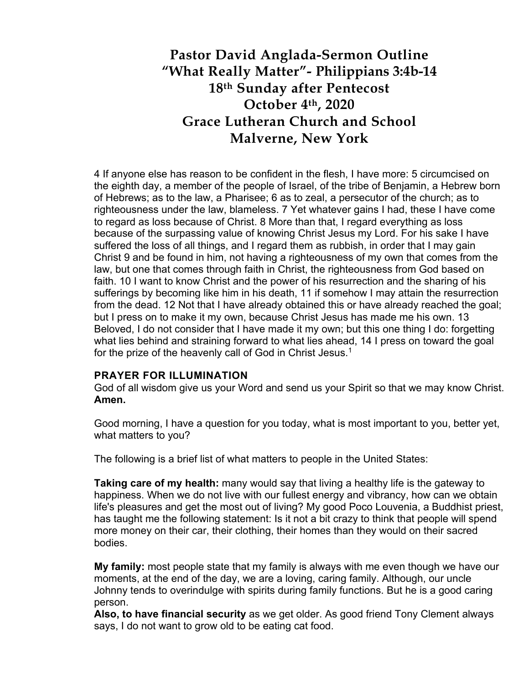## **Pastor David Anglada-Sermon Outline "What Really Matter"- Philippians 3:4b-14 18th Sunday after Pentecost October 4th, 2020 Grace Lutheran Church and School Malverne, New York**

4 If anyone else has reason to be confident in the flesh, I have more: 5 circumcised on the eighth day, a member of the people of Israel, of the tribe of Benjamin, a Hebrew born of Hebrews; as to the law, a Pharisee; 6 as to zeal, a persecutor of the church; as to righteousness under the law, blameless. 7 Yet whatever gains I had, these I have come to regard as loss because of Christ. 8 More than that, I regard everything as loss because of the surpassing value of knowing Christ Jesus my Lord. For his sake I have suffered the loss of all things, and I regard them as rubbish, in order that I may gain Christ 9 and be found in him, not having a righteousness of my own that comes from the law, but one that comes through faith in Christ, the righteousness from God based on faith. 10 I want to know Christ and the power of his resurrection and the sharing of his sufferings by becoming like him in his death, 11 if somehow I may attain the resurrection from the dead. 12 Not that I have already obtained this or have already reached the goal; but I press on to make it my own, because Christ Jesus has made me his own. 13 Beloved, I do not consider that I have made it my own; but this one thing I do: forgetting what lies behind and straining forward to what lies ahead, 14 I press on toward the goal for the prize of the heavenly call of God in Christ Jesus.<sup>1</sup>

## **PRAYER FOR ILLUMINATION**

God of all wisdom give us your Word and send us your Spirit so that we may know Christ. **Amen.**

Good morning, I have a question for you today, what is most important to you, better yet, what matters to you?

The following is a brief list of what matters to people in the United States:

**Taking care of my health:** many would say that living a healthy life is the gateway to happiness. When we do not live with our fullest energy and vibrancy, how can we obtain life's pleasures and get the most out of living? My good Poco Louvenia, a Buddhist priest, has taught me the following statement: Is it not a bit crazy to think that people will spend more money on their car, their clothing, their homes than they would on their sacred bodies.

**My family:** most people state that my family is always with me even though we have our moments, at the end of the day, we are a loving, caring family. Although, our uncle Johnny tends to overindulge with spirits during family functions. But he is a good caring person.

**Also, to have financial security** as we get older. As good friend Tony Clement always says, I do not want to grow old to be eating cat food.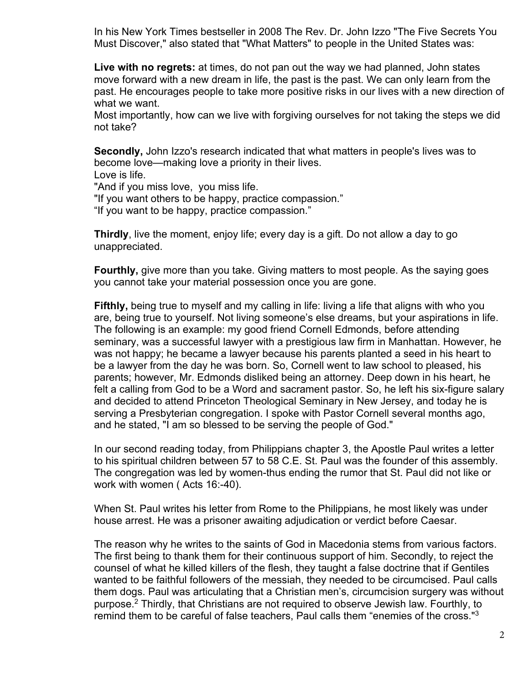In his New York Times bestseller in 2008 The Rev. Dr. John Izzo "The Five Secrets You Must Discover," also stated that "What Matters" to people in the United States was:

**Live with no regrets:** at times, do not pan out the way we had planned, John states move forward with a new dream in life, the past is the past. We can only learn from the past. He encourages people to take more positive risks in our lives with a new direction of what we want.

Most importantly, how can we live with forgiving ourselves for not taking the steps we did not take?

**Secondly,** John Izzo's research indicated that what matters in people's lives was to become love—making love a priority in their lives.

Love is life.

"And if you miss love, you miss life.

"If you want others to be happy, practice compassion."

"If you want to be happy, practice compassion."

**Thirdly**, live the moment, enjoy life; every day is a gift. Do not allow a day to go unappreciated.

**Fourthly,** give more than you take. Giving matters to most people. As the saying goes you cannot take your material possession once you are gone.

**Fifthly,** being true to myself and my calling in life: living a life that aligns with who you are, being true to yourself. Not living someone's else dreams, but your aspirations in life. The following is an example: my good friend Cornell Edmonds, before attending seminary, was a successful lawyer with a prestigious law firm in Manhattan. However, he was not happy; he became a lawyer because his parents planted a seed in his heart to be a lawyer from the day he was born. So, Cornell went to law school to pleased, his parents; however, Mr. Edmonds disliked being an attorney. Deep down in his heart, he felt a calling from God to be a Word and sacrament pastor. So, he left his six-figure salary and decided to attend Princeton Theological Seminary in New Jersey, and today he is serving a Presbyterian congregation. I spoke with Pastor Cornell several months ago, and he stated, "I am so blessed to be serving the people of God."

In our second reading today, from Philippians chapter 3, the Apostle Paul writes a letter to his spiritual children between 57 to 58 C.E. St. Paul was the founder of this assembly. The congregation was led by women-thus ending the rumor that St. Paul did not like or work with women ( Acts 16:-40).

When St. Paul writes his letter from Rome to the Philippians, he most likely was under house arrest. He was a prisoner awaiting adjudication or verdict before Caesar.

The reason why he writes to the saints of God in Macedonia stems from various factors. The first being to thank them for their continuous support of him. Secondly, to reject the counsel of what he killed killers of the flesh, they taught a false doctrine that if Gentiles wanted to be faithful followers of the messiah, they needed to be circumcised. Paul calls them dogs. Paul was articulating that a Christian men's, circumcision surgery was without purpose.2 Thirdly, that Christians are not required to observe Jewish law. Fourthly, to remind them to be careful of false teachers, Paul calls them "enemies of the cross."3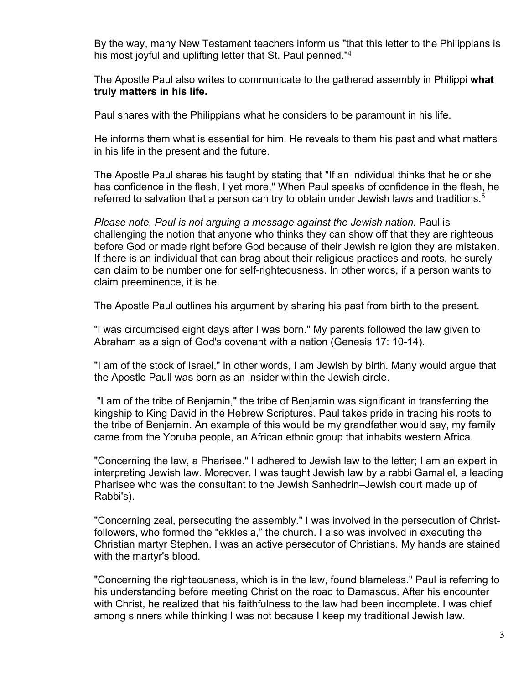By the way, many New Testament teachers inform us "that this letter to the Philippians is his most joyful and uplifting letter that St. Paul penned."<sup>4</sup>

The Apostle Paul also writes to communicate to the gathered assembly in Philippi **what truly matters in his life.**

Paul shares with the Philippians what he considers to be paramount in his life.

He informs them what is essential for him. He reveals to them his past and what matters in his life in the present and the future.

The Apostle Paul shares his taught by stating that "If an individual thinks that he or she has confidence in the flesh, I yet more," When Paul speaks of confidence in the flesh, he referred to salvation that a person can try to obtain under Jewish laws and traditions.<sup>5</sup>

*Please note, Paul is not arguing a message against the Jewish nation.* Paul is challenging the notion that anyone who thinks they can show off that they are righteous before God or made right before God because of their Jewish religion they are mistaken. If there is an individual that can brag about their religious practices and roots, he surely can claim to be number one for self-righteousness. In other words, if a person wants to claim preeminence, it is he.

The Apostle Paul outlines his argument by sharing his past from birth to the present.

"I was circumcised eight days after I was born." My parents followed the law given to Abraham as a sign of God's covenant with a nation (Genesis 17: 10-14).

"I am of the stock of Israel," in other words, I am Jewish by birth. Many would argue that the Apostle Paull was born as an insider within the Jewish circle.

"I am of the tribe of Benjamin," the tribe of Benjamin was significant in transferring the kingship to King David in the Hebrew Scriptures. Paul takes pride in tracing his roots to the tribe of Benjamin. An example of this would be my grandfather would say, my family came from the Yoruba people, an African ethnic group that inhabits western Africa.

"Concerning the law, a Pharisee." I adhered to Jewish law to the letter; I am an expert in interpreting Jewish law. Moreover, I was taught Jewish law by a rabbi Gamaliel, a leading Pharisee who was the consultant to the Jewish Sanhedrin–Jewish court made up of Rabbi's).

"Concerning zeal, persecuting the assembly." I was involved in the persecution of Christfollowers, who formed the "ekklesia," the church. I also was involved in executing the Christian martyr Stephen. I was an active persecutor of Christians. My hands are stained with the martyr's blood.

"Concerning the righteousness, which is in the law, found blameless." Paul is referring to his understanding before meeting Christ on the road to Damascus. After his encounter with Christ, he realized that his faithfulness to the law had been incomplete. I was chief among sinners while thinking I was not because I keep my traditional Jewish law.